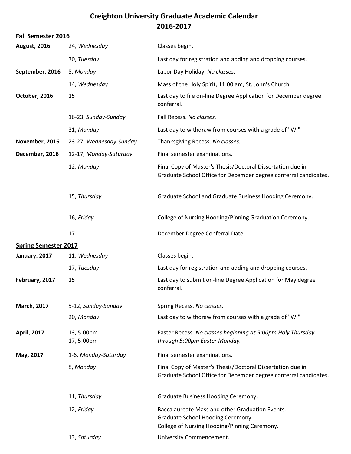## **Creighton University Graduate Academic Calendar 2016-2017**

| <b>Fall Semester 2016</b>   |                            |                                                                                                                                      |
|-----------------------------|----------------------------|--------------------------------------------------------------------------------------------------------------------------------------|
| <b>August, 2016</b>         | 24, Wednesday              | Classes begin.                                                                                                                       |
|                             | 30, Tuesday                | Last day for registration and adding and dropping courses.                                                                           |
| September, 2016             | 5, Monday                  | Labor Day Holiday. No classes.                                                                                                       |
|                             | 14, Wednesday              | Mass of the Holy Spirit, 11:00 am, St. John's Church.                                                                                |
| October, 2016               | 15                         | Last day to file on-line Degree Application for December degree<br>conferral.                                                        |
|                             | 16-23, Sunday-Sunday       | Fall Recess. No classes.                                                                                                             |
|                             | 31, Monday                 | Last day to withdraw from courses with a grade of "W."                                                                               |
| November, 2016              | 23-27, Wednesday-Sunday    | Thanksgiving Recess. No classes.                                                                                                     |
| December, 2016              | 12-17, Monday-Saturday     | Final semester examinations.                                                                                                         |
|                             | 12, Monday                 | Final Copy of Master's Thesis/Doctoral Dissertation due in<br>Graduate School Office for December degree conferral candidates.       |
|                             | 15, Thursday               | Graduate School and Graduate Business Hooding Ceremony.                                                                              |
|                             | 16, Friday                 | College of Nursing Hooding/Pinning Graduation Ceremony.                                                                              |
|                             | 17                         | December Degree Conferral Date.                                                                                                      |
| <b>Spring Semester 2017</b> |                            |                                                                                                                                      |
| January, 2017               | 11, Wednesday              | Classes begin.                                                                                                                       |
|                             | 17, Tuesday                | Last day for registration and adding and dropping courses.                                                                           |
| February, 2017              | 15                         | Last day to submit on-line Degree Application for May degree<br>conferral.                                                           |
| <b>March, 2017</b>          | 5-12, Sunday-Sunday        | Spring Recess. No classes.                                                                                                           |
|                             | 20, Monday                 | Last day to withdraw from courses with a grade of "W."                                                                               |
| <b>April, 2017</b>          | 13, 5:00pm -<br>17, 5:00pm | Easter Recess. No classes beginning at 5:00pm Holy Thursday<br>through 5:00pm Easter Monday.                                         |
| May, 2017                   | 1-6, Monday-Saturday       | Final semester examinations.                                                                                                         |
|                             | 8, Monday                  | Final Copy of Master's Thesis/Doctoral Dissertation due in<br>Graduate School Office for December degree conferral candidates.       |
|                             | 11, Thursday               | Graduate Business Hooding Ceremony.                                                                                                  |
|                             | 12, Friday                 | Baccalaureate Mass and other Graduation Events.<br>Graduate School Hooding Ceremony.<br>College of Nursing Hooding/Pinning Ceremony. |
|                             | 13, Saturday               | University Commencement.                                                                                                             |